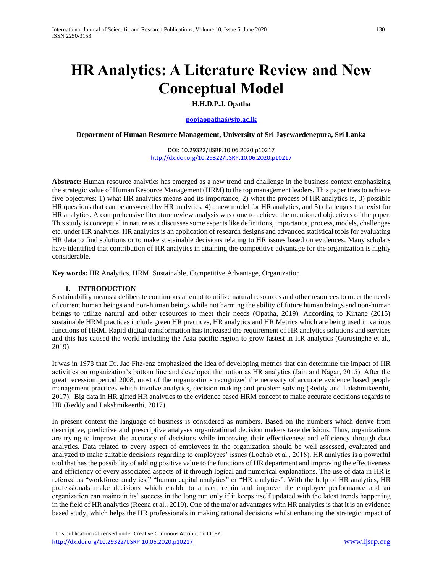# **HR Analytics: A Literature Review and New Conceptual Model**

**H.H.D.P.J. Opatha**

**[poojaopatha@sjp.ac.lk](mailto:poojaopatha@sjp.ac.lk)**

**Department of Human Resource Management, University of Sri Jayewardenepura, Sri Lanka**

DOI: 10.29322/IJSRP.10.06.2020.p10217 <http://dx.doi.org/10.29322/IJSRP.10.06.2020.p10217>

**Abstract:** Human resource analytics has emerged as a new trend and challenge in the business context emphasizing the strategic value of Human Resource Management (HRM) to the top management leaders. This paper tries to achieve five objectives: 1) what HR analytics means and its importance, 2) what the process of HR analytics is, 3) possible HR questions that can be answered by HR analytics, 4) a new model for HR analytics, and 5) challenges that exist for HR analytics. A comprehensive literature review analysis was done to achieve the mentioned objectives of the paper. This study is conceptual in nature as it discusses some aspects like definitions, importance, process, models, challenges etc. under HR analytics. HR analytics is an application of research designs and advanced statistical tools for evaluating HR data to find solutions or to make sustainable decisions relating to HR issues based on evidences. Many scholars have identified that contribution of HR analytics in attaining the competitive advantage for the organization is highly considerable.

**Key words:** HR Analytics, HRM, Sustainable, Competitive Advantage, Organization

#### **1. INTRODUCTION**

Sustainability means a deliberate continuous attempt to utilize natural resources and other resources to meet the needs of current human beings and non-human beings while not harming the ability of future human beings and non-human beings to utilize natural and other resources to meet their needs (Opatha, 2019). According to Kirtane (2015) sustainable HRM practices include green HR practices, HR analytics and HR Metrics which are being used in various functions of HRM. Rapid digital transformation has increased the requirement of HR analytics solutions and services and this has caused the world including the Asia pacific region to grow fastest in HR analytics (Gurusinghe et al., 2019).

It was in 1978 that Dr. Jac Fitz-enz emphasized the idea of developing metrics that can determine the impact of HR activities on organization's bottom line and developed the notion as HR analytics (Jain and Nagar, 2015). After the great recession period 2008, most of the organizations recognized the necessity of accurate evidence based people management practices which involve analytics, decision making and problem solving (Reddy and Lakshmikeerthi, 2017). Big data in HR gifted HR analytics to the evidence based HRM concept to make accurate decisions regards to HR (Reddy and Lakshmikeerthi, 2017).

In present context the language of business is considered as numbers. Based on the numbers which derive from descriptive, predictive and prescriptive analyses organizational decision makers take decisions. Thus, organizations are trying to improve the accuracy of decisions while improving their effectiveness and efficiency through data analytics. Data related to every aspect of employees in the organization should be well assessed, evaluated and analyzed to make suitable decisions regarding to employees' issues (Lochab et al., 2018). HR analytics is a powerful tool that has the possibility of adding positive value to the functions of HR department and improving the effectiveness and efficiency of every associated aspects of it through logical and numerical explanations. The use of data in HR is referred as "workforce analytics," "human capital analytics" or "HR analytics". With the help of HR analytics, HR professionals make decisions which enable to attract, retain and improve the employee performance and an organization can maintain its' success in the long run only if it keeps itself updated with the latest trends happening in the field of HR analytics (Reena et al., 2019). One of the major advantages with HR analytics is that it is an evidence based study, which helps the HR professionals in making rational decisions whilst enhancing the strategic impact of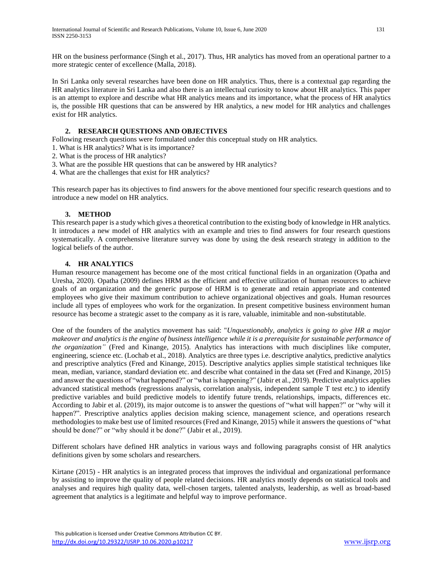HR on the business performance (Singh et al., 2017). Thus, HR analytics has moved from an operational partner to a more strategic center of excellence (Malla, 2018).

In Sri Lanka only several researches have been done on HR analytics. Thus, there is a contextual gap regarding the HR analytics literature in Sri Lanka and also there is an intellectual curiosity to know about HR analytics. This paper is an attempt to explore and describe what HR analytics means and its importance, what the process of HR analytics is, the possible HR questions that can be answered by HR analytics, a new model for HR analytics and challenges exist for HR analytics.

## **2. RESEARCH QUESTIONS AND OBJECTIVES**

Following research questions were formulated under this conceptual study on HR analytics.

- 1. What is HR analytics? What is its importance?
- 2. What is the process of HR analytics?
- 3. What are the possible HR questions that can be answered by HR analytics?
- 4. What are the challenges that exist for HR analytics?

This research paper has its objectives to find answers for the above mentioned four specific research questions and to introduce a new model on HR analytics.

#### **3. METHOD**

This research paper is a study which gives a theoretical contribution to the existing body of knowledge in HR analytics. It introduces a new model of HR analytics with an example and tries to find answers for four research questions systematically. A comprehensive literature survey was done by using the desk research strategy in addition to the logical beliefs of the author.

#### **4. HR ANALYTICS**

Human resource management has become one of the most critical functional fields in an organization (Opatha and Uresha, 2020). Opatha (2009) defines HRM as the efficient and effective utilization of human resources to achieve goals of an organization and the generic purpose of HRM is to generate and retain appropriate and contented employees who give their maximum contribution to achieve organizational objectives and goals. Human resources include all types of employees who work for the organization. In present competitive business environment human resource has become a strategic asset to the company as it is rare, valuable, inimitable and non-substitutable.

One of the founders of the analytics movement has said: "*Unquestionably, analytics is going to give HR a major makeover and analytics is the engine of business intelligence while it is a prerequisite for sustainable performance of the organization"* (Fred and Kinange, 2015). Analytics has interactions with much disciplines like computer, engineering, science etc. (Lochab et al., 2018). Analytics are three types i.e. descriptive analytics, predictive analytics and prescriptive analytics (Fred and Kinange, 2015). Descriptive analytics applies simple statistical techniques like mean, median, variance, standard deviation etc. and describe what contained in the data set (Fred and Kinange, 2015) and answer the questions of "what happened?" or "what is happening?" (Jabir et al., 2019). Predictive analytics applies advanced statistical methods (regressions analysis, correlation analysis, independent sample T test etc.) to identify predictive variables and build predictive models to identify future trends, relationships, impacts, differences etc. According to Jabir et al. (2019), its major outcome is to answer the questions of "what will happen?" or "why will it happen?". Prescriptive analytics applies decision making science, management science, and operations research methodologies to make best use of limited resources (Fred and Kinange, 2015) while it answers the questions of "what should be done?" or "why should it be done?" (Jabir et al., 2019).

Different scholars have defined HR analytics in various ways and following paragraphs consist of HR analytics definitions given by some scholars and researchers.

Kirtane (2015) - HR analytics is an integrated process that improves the individual and organizational performance by assisting to improve the quality of people related decisions. HR analytics mostly depends on statistical tools and analyses and requires high quality data, well-chosen targets, talented analysts, leadership, as well as broad-based agreement that analytics is a legitimate and helpful way to improve performance.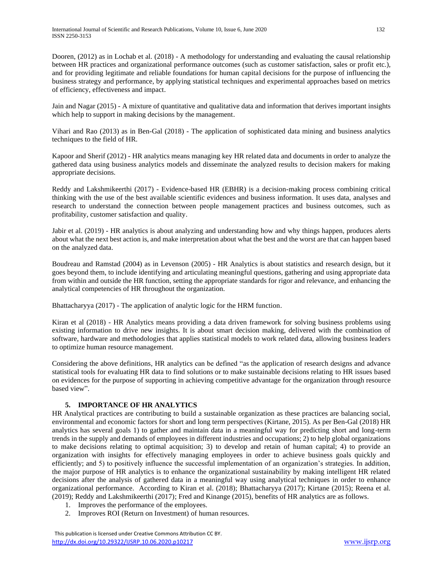Dooren, (2012) as in Lochab et al. (2018) *-* A methodology for understanding and evaluating the causal relationship between HR practices and organizational performance outcomes (such as customer satisfaction, sales or profit etc.), and for providing legitimate and reliable foundations for human capital decisions for the purpose of influencing the business strategy and performance, by applying statistical techniques and experimental approaches based on metrics of efficiency, effectiveness and impact.

Jain and Nagar (2015) - A mixture of quantitative and qualitative data and information that derives important insights which help to support in making decisions by the management.

Vihari and Rao (2013) as in Ben-Gal (2018) - The application of sophisticated data mining and business analytics techniques to the field of HR.

Kapoor and Sherif (2012) - HR analytics means managing key HR related data and documents in order to analyze the gathered data using business analytics models and disseminate the analyzed results to decision makers for making appropriate decisions.

Reddy and Lakshmikeerthi (2017) - Evidence-based HR (EBHR) is a decision-making process combining critical thinking with the use of the best available scientific evidences and business information. It uses data, analyses and research to understand the connection between people management practices and business outcomes, such as profitability, customer satisfaction and quality.

Jabir et al. (2019) - HR analytics is about analyzing and understanding how and why things happen, produces alerts about what the next best action is, and make interpretation about what the best and the worst are that can happen based on the analyzed data.

Boudreau and Ramstad (2004) as in Levenson (2005) *-* HR Analytics is about statistics and research design, but it goes beyond them, to include identifying and articulating meaningful questions, gathering and using appropriate data from within and outside the HR function, setting the appropriate standards for rigor and relevance, and enhancing the analytical competencies of HR throughout the organization.

Bhattacharyya (2017) - The application of analytic logic for the HRM function.

Kiran et al (2018) - HR Analytics means providing a data driven framework for solving business problems using existing information to drive new insights. It is about smart decision making, delivered with the combination of software, hardware and methodologies that applies statistical models to work related data, allowing business leaders to optimize human resource management.

Considering the above definitions, HR analytics can be defined "as the application of research designs and advance statistical tools for evaluating HR data to find solutions or to make sustainable decisions relating to HR issues based on evidences for the purpose of supporting in achieving competitive advantage for the organization through resource based view".

## **5. IMPORTANCE OF HR ANALYTICS**

HR Analytical practices are contributing to build a sustainable organization as these practices are balancing social, environmental and economic factors for short and long term perspectives (Kirtane, 2015). As per Ben-Gal (2018) HR analytics has several goals 1) to gather and maintain data in a meaningful way for predicting short and long-term trends in the supply and demands of employees in different industries and occupations; 2) to help global organizations to make decisions relating to optimal acquisition; 3) to develop and retain of human capital; 4) to provide an organization with insights for effectively managing employees in order to achieve business goals quickly and efficiently; and 5) to positively influence the successful implementation of an organization's strategies. In addition, the major purpose of HR analytics is to enhance the organizational sustainability by making intelligent HR related decisions after the analysis of gathered data in a meaningful way using analytical techniques in order to enhance organizational performance. According to Kiran et al. (2018); Bhattacharyya (2017); Kirtane (2015); Reena et al. (2019); Reddy and Lakshmikeerthi (2017); Fred and Kinange (2015), benefits of HR analytics are as follows.

- 1. Improves the performance of the employees.
- 2. Improves ROI (Return on Investment) of human resources.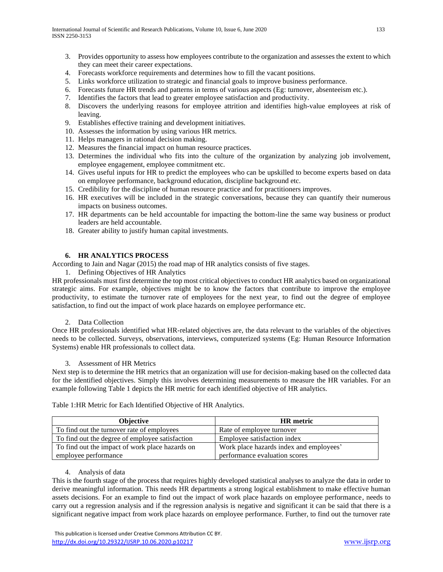- 3. Provides opportunity to assess how employees contribute to the organization and assesses the extent to which they can meet their career expectations.
- 4. Forecasts workforce requirements and determines how to fill the vacant positions.
- 5. Links workforce utilization to strategic and financial goals to improve business performance.
- 6. Forecasts future HR trends and patterns in terms of various aspects (Eg: turnover, absenteeism etc.).
- 7. Identifies the factors that lead to greater employee satisfaction and productivity.
- 8. Discovers the underlying reasons for employee attrition and identifies high-value employees at risk of leaving.
- 9. Establishes effective training and development initiatives.
- 10. Assesses the information by using various HR metrics.
- 11. Helps managers in rational decision making.
- 12. Measures the financial impact on human resource practices.
- 13. Determines the individual who fits into the culture of the organization by analyzing job involvement, employee engagement, employee commitment etc.
- 14. Gives useful inputs for HR to predict the employees who can be upskilled to become experts based on data on employee performance, background education, discipline background etc.
- 15. Credibility for the discipline of human resource practice and for practitioners improves.
- 16. HR executives will be included in the strategic conversations, because they can quantify their numerous impacts on business outcomes.
- 17. HR departments can be held accountable for impacting the bottom-line the same way business or product leaders are held accountable.
- 18. Greater ability to justify human capital investments.

#### **6. HR ANALYTICS PROCESS**

According to Jain and Nagar (2015) the road map of HR analytics consists of five stages.

1. Defining Objectives of HR Analytics

HR professionals must first determine the top most critical objectives to conduct HR analytics based on organizational strategic aims. For example, objectives might be to know the factors that contribute to improve the employee productivity, to estimate the turnover rate of employees for the next year, to find out the degree of employee satisfaction, to find out the impact of work place hazards on employee performance etc.

#### 2. Data Collection

Once HR professionals identified what HR-related objectives are, the data relevant to the variables of the objectives needs to be collected. Surveys, observations, interviews, computerized systems (Eg: Human Resource Information Systems) enable HR professionals to collect data.

#### 3. Assessment of HR Metrics

Next step is to determine the HR metrics that an organization will use for decision-making based on the collected data for the identified objectives. Simply this involves determining measurements to measure the HR variables. For an example following Table 1 depicts the HR metric for each identified objective of HR analytics.

| <b>Objective</b>                                | <b>HR</b> metric                        |
|-------------------------------------------------|-----------------------------------------|
| To find out the turnover rate of employees      | Rate of employee turnover               |
| To find out the degree of employee satisfaction | Employee satisfaction index             |
| To find out the impact of work place hazards on | Work place hazards index and employees' |
| employee performance                            | performance evaluation scores           |

Table 1:HR Metric for Each Identified Objective of HR Analytics.

#### 4. Analysis of data

This is the fourth stage of the process that requires highly developed statistical analyses to analyze the data in order to derive meaningful information. This needs HR departments a strong logical establishment to make effective human assets decisions. For an example to find out the impact of work place hazards on employee performance, needs to carry out a regression analysis and if the regression analysis is negative and significant it can be said that there is a significant negative impact from work place hazards on employee performance. Further, to find out the turnover rate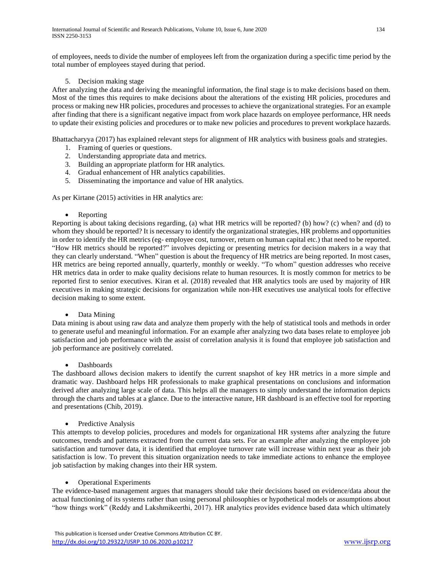of employees, needs to divide the number of employees left from the organization during a specific time period by the total number of employees stayed during that period.

## 5. Decision making stage

After analyzing the data and deriving the meaningful information, the final stage is to make decisions based on them. Most of the times this requires to make decisions about the alterations of the existing HR policies, procedures and process or making new HR policies, procedures and processes to achieve the organizational strategies. For an example after finding that there is a significant negative impact from work place hazards on employee performance, HR needs to update their existing policies and procedures or to make new policies and procedures to prevent workplace hazards.

Bhattacharyya (2017) has explained relevant steps for alignment of HR analytics with business goals and strategies.

- 1. Framing of queries or questions.
- 2. Understanding appropriate data and metrics.
- 3. Building an appropriate platform for HR analytics.
- 4. Gradual enhancement of HR analytics capabilities.
- 5. Disseminating the importance and value of HR analytics.

As per Kirtane (2015) activities in HR analytics are:

#### • Reporting

Reporting is about taking decisions regarding, (a) what HR metrics will be reported? (b) how? (c) when? and (d) to whom they should be reported? It is necessary to identify the organizational strategies, HR problems and opportunities in order to identify the HR metrics (eg- employee cost, turnover, return on human capital etc.) that need to be reported. "How HR metrics should be reported?" involves depicting or presenting metrics for decision makers in a way that they can clearly understand. "When" question is about the frequency of HR metrics are being reported. In most cases, HR metrics are being reported annually, quarterly, monthly or weekly. "To whom" question addresses who receive HR metrics data in order to make quality decisions relate to human resources. It is mostly common for metrics to be reported first to senior executives. Kiran et al. (2018) revealed that HR analytics tools are used by majority of HR executives in making strategic decisions for organization while non-HR executives use analytical tools for effective decision making to some extent.

## • Data Mining

Data mining is about using raw data and analyze them properly with the help of statistical tools and methods in order to generate useful and meaningful information. For an example after analyzing two data bases relate to employee job satisfaction and job performance with the assist of correlation analysis it is found that employee job satisfaction and job performance are positively correlated.

## • Dashboards

The dashboard allows decision makers to identify the current snapshot of key HR metrics in a more simple and dramatic way. Dashboard helps HR professionals to make graphical presentations on conclusions and information derived after analyzing large scale of data. This helps all the managers to simply understand the information depicts through the charts and tables at a glance. Due to the interactive nature, HR dashboard is an effective tool for reporting and presentations (Chib, 2019).

## • Predictive Analysis

This attempts to develop policies, procedures and models for organizational HR systems after analyzing the future outcomes, trends and patterns extracted from the current data sets. For an example after analyzing the employee job satisfaction and turnover data, it is identified that employee turnover rate will increase within next year as their job satisfaction is low. To prevent this situation organization needs to take immediate actions to enhance the employee job satisfaction by making changes into their HR system.

## • Operational Experiments

The evidence-based management argues that managers should take their decisions based on evidence/data about the actual functioning of its systems rather than using personal philosophies or hypothetical models or assumptions about "how things work" (Reddy and Lakshmikeerthi, 2017). HR analytics provides evidence based data which ultimately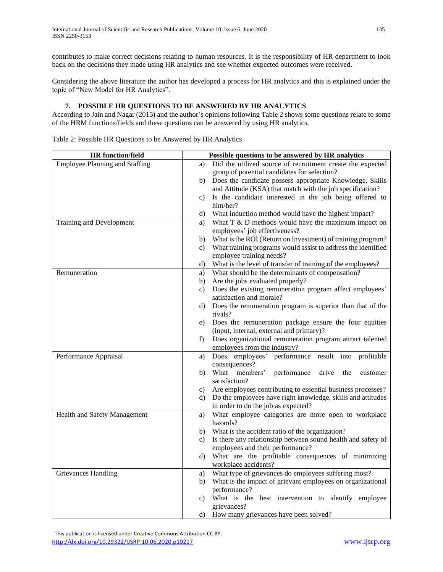contributes to make correct decisions relating to human resources. It is the responsibility of HR department to look back on the decisions they made using HR analytics and see whether expected outcomes were received.

Considering the above literature the author has developed a process for HR analytics and this is explained under the topic of "New Model for HR Analytics".

## **7. POSSIBLE HR QUESTIONS TO BE ANSWERED BY HR ANALYTICS**

According to Jain and Nagar (2015) and the author's opinions following Table 2 shows some questions relate to some of the HRM functions/fields and these questions can be answered by using HR analytics.

| <b>HR</b> function/field       | Possible questions to be answered by HR analytics                                                        |  |  |  |  |
|--------------------------------|----------------------------------------------------------------------------------------------------------|--|--|--|--|
| Employee Planning and Staffing | Did the utilized source of recruitment create the expected<br>a)                                         |  |  |  |  |
|                                | group of potential candidates for selection?                                                             |  |  |  |  |
|                                | Does the candidate possess appropriate Knowledge, Skills<br>b)                                           |  |  |  |  |
|                                | and Attitude (KSA) that match with the job specification?                                                |  |  |  |  |
|                                | Is the candidate interested in the job being offered to<br>c)                                            |  |  |  |  |
|                                | him/her?                                                                                                 |  |  |  |  |
|                                | What induction method would have the highest impact?<br>d)                                               |  |  |  |  |
| Training and Development       | What $T \& D$ methods would have the maximum impact on<br>a)                                             |  |  |  |  |
|                                | employees' job effectiveness?                                                                            |  |  |  |  |
|                                | What is the ROI (Return on Investment) of training program?<br>b)                                        |  |  |  |  |
|                                | What training programs would assist to address the identified<br>c)                                      |  |  |  |  |
|                                | employee training needs?                                                                                 |  |  |  |  |
|                                | What is the level of transfer of training of the employees?<br>d)                                        |  |  |  |  |
| Remuneration                   | What should be the determinants of compensation?<br>a)                                                   |  |  |  |  |
|                                | Are the jobs evaluated properly?<br>b)                                                                   |  |  |  |  |
|                                | Does the existing remuneration program affect employees'<br>c)                                           |  |  |  |  |
|                                | satisfaction and morale?                                                                                 |  |  |  |  |
|                                | d) Does the remuneration program is superior than that of the                                            |  |  |  |  |
|                                | rivals?                                                                                                  |  |  |  |  |
|                                | Does the remuneration package ensure the four equities<br>e)<br>(input, internal, external and primary)? |  |  |  |  |
|                                | Does organizational remuneration program attract talented<br>f)                                          |  |  |  |  |
|                                | employees from the industry?                                                                             |  |  |  |  |
| Performance Appraisal          | performance result into<br>Does employees'<br>profitable<br>a)                                           |  |  |  |  |
|                                | consequences?                                                                                            |  |  |  |  |
|                                | What members'<br>performance<br>drive<br>b)<br>the<br>customer                                           |  |  |  |  |
|                                | satisfaction?                                                                                            |  |  |  |  |
|                                | Are employees contributing to essential business processes?<br>c)                                        |  |  |  |  |
|                                | Do the employees have right knowledge, skills and attitudes<br>d)                                        |  |  |  |  |
|                                | in order to do the job as expected?                                                                      |  |  |  |  |
| Health and Safety Management   | What employee categories are more open to workplace<br>a)                                                |  |  |  |  |
|                                | hazards?                                                                                                 |  |  |  |  |
|                                | What is the accident ratio of the organization?<br>b)                                                    |  |  |  |  |
|                                | Is there any relationship between sound health and safety of<br>c)                                       |  |  |  |  |
|                                | employees and their performance?                                                                         |  |  |  |  |
|                                | What are the profitable consequences of minimizing<br>d)                                                 |  |  |  |  |
|                                | workplace accidents?                                                                                     |  |  |  |  |
| <b>Grievances Handling</b>     | What type of grievances do employees suffering most?<br>a)                                               |  |  |  |  |
|                                | What is the impact of grievant employees on organizational<br>b)                                         |  |  |  |  |
|                                | performance?                                                                                             |  |  |  |  |
|                                | What is the best intervention to identify employee<br>c)                                                 |  |  |  |  |
|                                | grievances?                                                                                              |  |  |  |  |
|                                | How many grievances have been solved?<br>d)                                                              |  |  |  |  |

Table 2: Possible HR Questions to be Answered by HR Analytics

 This publication is licensed under Creative Commons Attribution CC BY. <http://dx.doi.org/10.29322/IJSRP.10.06.2020.p10217> [www.ijsrp.org](http://ijsrp.org/)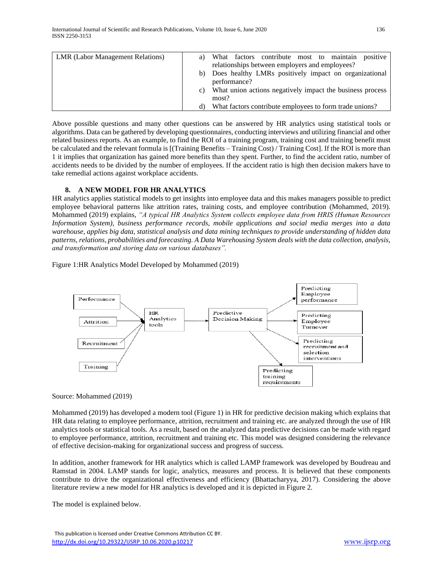| <b>LMR</b> (Labor Management Relations) | a)                                                              | What factors contribute most to maintain<br>positive    |  |  |  |  |
|-----------------------------------------|-----------------------------------------------------------------|---------------------------------------------------------|--|--|--|--|
|                                         |                                                                 | relationships between employers and employees?          |  |  |  |  |
|                                         |                                                                 | Does healthy LMRs positively impact on organizational   |  |  |  |  |
|                                         |                                                                 | performance?                                            |  |  |  |  |
|                                         | What union actions negatively impact the business process<br>C) |                                                         |  |  |  |  |
|                                         |                                                                 | most?                                                   |  |  |  |  |
|                                         |                                                                 | What factors contribute employees to form trade unions? |  |  |  |  |

Above possible questions and many other questions can be answered by HR analytics using statistical tools or algorithms. Data can be gathered by developing questionnaires, conducting interviews and utilizing financial and other related business reports. As an example, to find the ROI of a training program, training cost and training benefit must be calculated and the relevant formula is [(Training Benefits – Training Cost) / Training Cost]. If the ROI is more than 1 it implies that organization has gained more benefits than they spent. Further, to find the accident ratio, number of accidents needs to be divided by the number of employees. If the accident ratio is high then decision makers have to take remedial actions against workplace accidents.

#### **8. A NEW MODEL FOR HR ANALYTICS**

HR analytics applies statistical models to get insights into employee data and this makes managers possible to predict employee behavioral patterns like attrition rates, training costs, and employee contribution (Mohammed, 2019). Mohammed (2019) explains, *"A typical HR Analytics System collects employee data from HRIS (Human Resources Information System), business performance records, mobile applications and social media merges into a data warehouse, applies big data, statistical analysis and data mining techniques to provide understanding of hidden data patterns, relations, probabilities and forecasting. A Data Warehousing System deals with the data collection, analysis, and transformation and storing data on various databases".*

Figure 1:HR Analytics Model Developed by Mohammed (2019)



## Source: Mohammed (2019)

Mohammed (2019) has developed a modern tool (Figure 1) in HR for predictive decision making which explains that HR data relating to employee performance, attrition, recruitment and training etc. are analyzed through the use of HR analytics tools or statistical tools. As a result, based on the analyzed data predictive decisions can be made with regard to employee performance, attrition, recruitment and training etc. This model was designed considering the relevance of effective decision-making for organizational success and progress of success.

In addition, another framework for HR analytics which is called LAMP framework was developed by Boudreau and Ramstad in 2004. LAMP stands for logic, analytics, measures and process. It is believed that these components contribute to drive the organizational effectiveness and efficiency (Bhattacharyya, 2017). Considering the above literature review a new model for HR analytics is developed and it is depicted in Figure 2.

The model is explained below.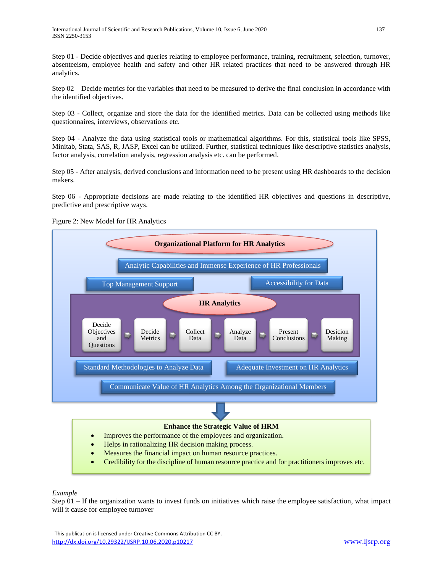Step 01 - Decide objectives and queries relating to employee performance, training, recruitment, selection, turnover, absenteeism, employee health and safety and other HR related practices that need to be answered through HR analytics.

Step 02 – Decide metrics for the variables that need to be measured to derive the final conclusion in accordance with the identified objectives.

Step 03 - Collect, organize and store the data for the identified metrics. Data can be collected using methods like questionnaires, interviews, observations etc.

Step 04 - Analyze the data using statistical tools or mathematical algorithms. For this, statistical tools like SPSS, Minitab, Stata, SAS, R, JASP, Excel can be utilized. Further, statistical techniques like descriptive statistics analysis, factor analysis, correlation analysis, regression analysis etc. can be performed.

Step 05 - After analysis, derived conclusions and information need to be present using HR dashboards to the decision makers.

Step 06 - Appropriate decisions are made relating to the identified HR objectives and questions in descriptive, predictive and prescriptive ways.



Figure 2: New Model for HR Analytics

## *Example*

Step  $01 -$  If the organization wants to invest funds on initiatives which raise the employee satisfaction, what impact will it cause for employee turnover

 This publication is licensed under Creative Commons Attribution CC BY. <http://dx.doi.org/10.29322/IJSRP.10.06.2020.p10217> [www.ijsrp.org](http://ijsrp.org/)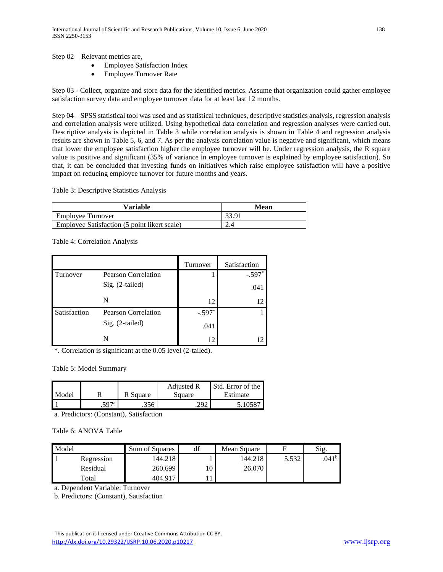Step 02 – Relevant metrics are,

- Employee Satisfaction Index
- Employee Turnover Rate

Step 03 - Collect, organize and store data for the identified metrics. Assume that organization could gather employee satisfaction survey data and employee turnover data for at least last 12 months.

Step 04 – SPSS statistical tool was used and as statistical techniques, descriptive statistics analysis, regression analysis and correlation analysis were utilized. Using hypothetical data correlation and regression analyses were carried out. Descriptive analysis is depicted in Table 3 while correlation analysis is shown in Table 4 and regression analysis results are shown in Table 5, 6, and 7. As per the analysis correlation value is negative and significant, which means that lower the employee satisfaction higher the employee turnover will be. Under regression analysis, the R square value is positive and significant (35% of variance in employee turnover is explained by employee satisfaction). So that, it can be concluded that investing funds on initiatives which raise employee satisfaction will have a positive impact on reducing employee turnover for future months and years.

Table 3: Descriptive Statistics Analysis

| Variable                                     | Mean |
|----------------------------------------------|------|
| Employee Turnover                            |      |
| Employee Satisfaction (5 point likert scale) | 2.4  |

Table 4: Correlation Analysis

|              |                            | Turnover | Satisfaction |
|--------------|----------------------------|----------|--------------|
| Turnover     | Pearson Correlation        |          | $-.597*$     |
|              | Sig. (2-tailed)            |          | .041         |
|              | N                          | 12       | 12           |
| Satisfaction | <b>Pearson Correlation</b> | $-.597*$ |              |
|              | Sig. (2-tailed)            | .041     |              |
|              | N                          | 12       |              |

\*. Correlation is significant at the 0.05 level (2-tailed).

Table 5: Model Summary

| Model |      | Square<br>R. | Adjusted R<br>Square | Std. Error of the<br>Estimate |
|-------|------|--------------|----------------------|-------------------------------|
|       | 507a | .356         |                      | $.1058$ $^{-}$                |

a. Predictors: (Constant), Satisfaction

Table 6: ANOVA Table

| Model |            | Sum of Squares | df | Mean Square |       | Sig.           |
|-------|------------|----------------|----|-------------|-------|----------------|
|       | Regression | 144.218        |    | 144.218     | 5.532 | $.041^{\rm b}$ |
|       | Residual   | 260.699        |    | 26.070      |       |                |
|       | Total      | 404.917        |    |             |       |                |

a. Dependent Variable: Turnover

b. Predictors: (Constant), Satisfaction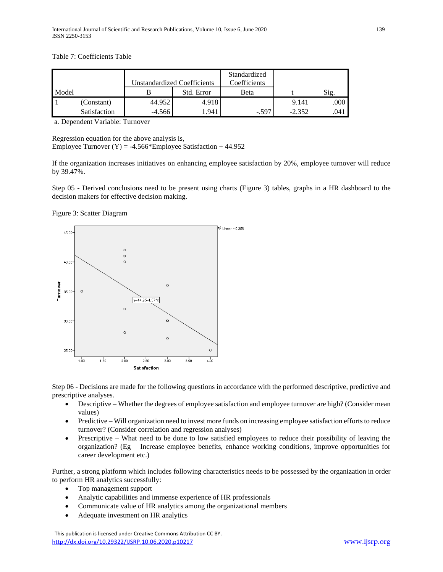Table 7: Coefficients Table

|       |              |          | <b>Unstandardized Coefficients</b> | Standardized<br>Coefficients |          |          |
|-------|--------------|----------|------------------------------------|------------------------------|----------|----------|
| Model |              |          | Std. Error                         | Beta                         |          | Sig.     |
|       | (Constant)   | 44.952   | 4.918                              |                              | 9.141    | $.000\,$ |
|       | Satisfaction | $-4.566$ | 1.941                              | $-.597$                      | $-2.352$ | .041     |

a. Dependent Variable: Turnover

Regression equation for the above analysis is, Employee Turnover  $(Y) = -4.566*$ Employee Satisfaction + 44.952

If the organization increases initiatives on enhancing employee satisfaction by 20%, employee turnover will reduce by 39.47%.

Step 05 - Derived conclusions need to be present using charts (Figure 3) tables, graphs in a HR dashboard to the decision makers for effective decision making.

Figure 3: Scatter Diagram



Step 06 - Decisions are made for the following questions in accordance with the performed descriptive, predictive and prescriptive analyses.

- Descriptive Whether the degrees of employee satisfaction and employee turnover are high? (Consider mean values)
- Predictive Will organization need to invest more funds on increasing employee satisfaction efforts to reduce turnover? (Consider correlation and regression analyses)
- Prescriptive What need to be done to low satisfied employees to reduce their possibility of leaving the organization? (Eg – Increase employee benefits, enhance working conditions, improve opportunities for career development etc.)

Further, a strong platform which includes following characteristics needs to be possessed by the organization in order to perform HR analytics successfully:

- Top management support
- Analytic capabilities and immense experience of HR professionals
- Communicate value of HR analytics among the organizational members
- Adequate investment on HR analytics

 This publication is licensed under Creative Commons Attribution CC BY. <http://dx.doi.org/10.29322/IJSRP.10.06.2020.p10217> [www.ijsrp.org](http://ijsrp.org/)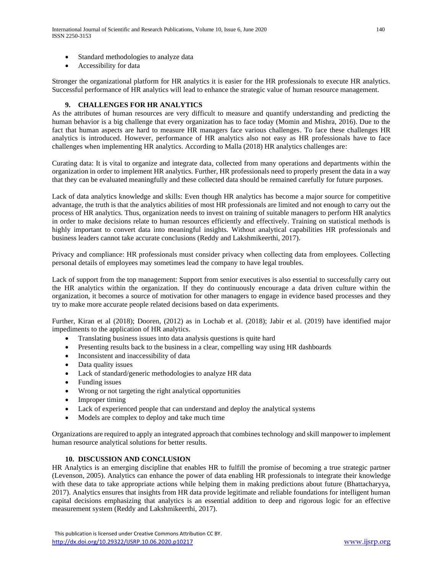- Standard methodologies to analyze data
- Accessibility for data

Stronger the organizational platform for HR analytics it is easier for the HR professionals to execute HR analytics. Successful performance of HR analytics will lead to enhance the strategic value of human resource management.

### **9. CHALLENGES FOR HR ANALYTICS**

As the attributes of human resources are very difficult to measure and quantify understanding and predicting the human behavior is a big challenge that every organization has to face today (Momin and Mishra, 2016). Due to the fact that human aspects are hard to measure HR managers face various challenges. To face these challenges HR analytics is introduced. However, performance of HR analytics also not easy as HR professionals have to face challenges when implementing HR analytics. According to Malla (2018) HR analytics challenges are:

Curating data: It is vital to organize and integrate data, collected from many operations and departments within the organization in order to implement HR analytics. Further, HR professionals need to properly present the data in a way that they can be evaluated meaningfully and these collected data should be remained carefully for future purposes.

Lack of data analytics knowledge and skills: Even though HR analytics has become a major source for competitive advantage, the truth is that the analytics abilities of most HR professionals are limited and not enough to carry out the process of HR analytics. Thus, organization needs to invest on training of suitable managers to perform HR analytics in order to make decisions relate to human resources efficiently and effectively. Training on statistical methods is highly important to convert data into meaningful insights. Without analytical capabilities HR professionals and business leaders cannot take accurate conclusions (Reddy and Lakshmikeerthi, 2017).

Privacy and compliance: HR professionals must consider privacy when collecting data from employees. Collecting personal details of employees may sometimes lead the company to have legal troubles.

Lack of support from the top management: Support from senior executives is also essential to successfully carry out the HR analytics within the organization. If they do continuously encourage a data driven culture within the organization, it becomes a source of motivation for other managers to engage in evidence based processes and they try to make more accurate people related decisions based on data experiments.

Further, Kiran et al (2018); Dooren, (2012) as in Lochab et al. (2018); Jabir et al. (2019) have identified major impediments to the application of HR analytics.

- Translating business issues into data analysis questions is quite hard
- Presenting results back to the business in a clear, compelling way using HR dashboards
- Inconsistent and inaccessibility of data
- Data quality issues
- Lack of standard/generic methodologies to analyze HR data
- Funding issues
- Wrong or not targeting the right analytical opportunities
- Improper timing
- Lack of experienced people that can understand and deploy the analytical systems
- Models are complex to deploy and take much time

Organizations are required to apply an integrated approach that combines technology and skill manpower to implement human resource analytical solutions for better results.

#### **10. DISCUSSION AND CONCLUSION**

HR Analytics is an emerging discipline that enables HR to fulfill the promise of becoming a true strategic partner (Levenson, 2005). Analytics can enhance the power of data enabling HR professionals to integrate their knowledge with these data to take appropriate actions while helping them in making predictions about future (Bhattacharyya, 2017). Analytics ensures that insights from HR data provide legitimate and reliable foundations for intelligent human capital decisions emphasizing that analytics is an essential addition to deep and rigorous logic for an effective measurement system (Reddy and Lakshmikeerthi, 2017).